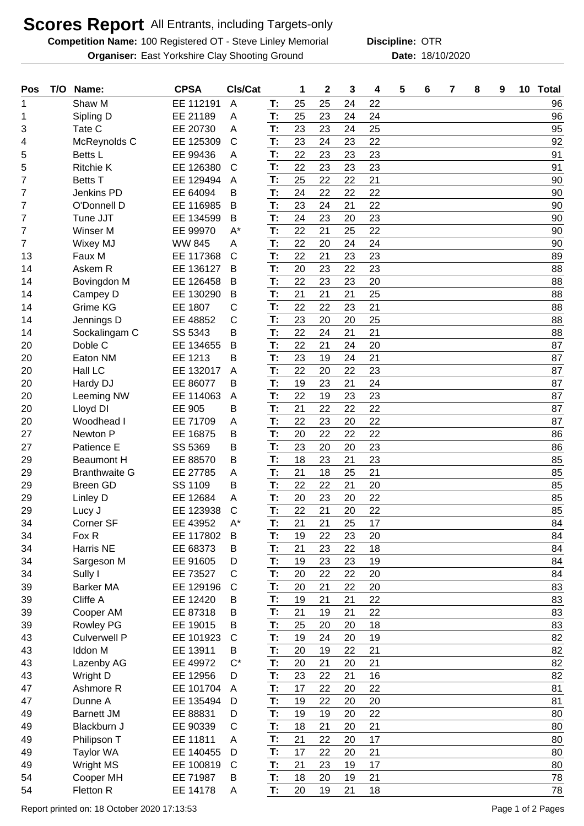## **Scores Report** All Entrants, including Targets-only

**Competition Name:** 100 Registered OT - Steve Linley Memorial **Discipline: OTR Organiser:** East Yorkshire Clay Shooting Ground **18/10/2020** Date: 18/10/2020

**Discipline:**

| Pos | T/O | Name:                | <b>CPSA</b>   | CIs/Cat      |    | 1  | $\mathbf 2$ | 3  | 4  | 5 | 6 | 7 | 8 | 9 | 10 | <b>Total</b> |
|-----|-----|----------------------|---------------|--------------|----|----|-------------|----|----|---|---|---|---|---|----|--------------|
|     |     | Shaw M               | EE 112191     | A            | Т: | 25 | 25          | 24 | 22 |   |   |   |   |   |    | 96           |
| 1   |     | Sipling D            | EE 21189      | A            | T: | 25 | 23          | 24 | 24 |   |   |   |   |   |    | 96           |
| 3   |     | Tate C               | EE 20730      | Α            | T: | 23 | 23          | 24 | 25 |   |   |   |   |   |    | 95           |
| 4   |     | McReynolds C         | EE 125309     | $\mathsf{C}$ | T: | 23 | 24          | 23 | 22 |   |   |   |   |   |    | 92           |
| 5   |     | Betts L              | EE 99436      | Α            | T: | 22 | 23          | 23 | 23 |   |   |   |   |   |    | 91           |
| 5   |     | <b>Ritchie K</b>     | EE 126380     | C            | T: | 22 | 23          | 23 | 23 |   |   |   |   |   |    | 91           |
| 7   |     | <b>Betts T</b>       | EE 129494     | A            | T: | 25 | 22          | 22 | 21 |   |   |   |   |   |    | 90           |
| 7   |     | <b>Jenkins PD</b>    | EE 64094      | В            | T: | 24 | 22          | 22 | 22 |   |   |   |   |   |    | 90           |
| 7   |     | O'Donnell D          | EE 116985     | B            | T: | 23 | 24          | 21 | 22 |   |   |   |   |   |    | 90           |
| 7   |     | Tune JJT             | EE 134599     | B            | T: | 24 | 23          | 20 | 23 |   |   |   |   |   |    | 90           |
| 7   |     | Winser M             | EE 99970      | $A^*$        | T: | 22 | 21          | 25 | 22 |   |   |   |   |   |    | 90           |
| 7   |     | <b>Wixey MJ</b>      | <b>WW 845</b> | Α            | T: | 22 | 20          | 24 | 24 |   |   |   |   |   |    | 90           |
| 13  |     | Faux M               | EE 117368     | $\mathsf{C}$ | T: | 22 | 21          | 23 | 23 |   |   |   |   |   |    | 89           |
| 14  |     | Askem R              | EE 136127     | B            | T: | 20 | 23          | 22 | 23 |   |   |   |   |   |    | 88           |
| 14  |     | Bovingdon M          | EE 126458     | B            | T: | 22 | 23          | 23 | 20 |   |   |   |   |   |    | 88           |
| 14  |     | Campey D             | EE 130290     | B            | T: | 21 | 21          | 21 | 25 |   |   |   |   |   |    | 88           |
| 14  |     | Grime KG             | EE 1807       | С            | T: | 22 | 22          | 23 | 21 |   |   |   |   |   |    | 88           |
| 14  |     | Jennings D           | EE 48852      | C            | T: | 23 | 20          | 20 | 25 |   |   |   |   |   |    | 88           |
| 14  |     | Sockalingam C        | SS 5343       | В            | T: | 22 | 24          | 21 | 21 |   |   |   |   |   |    | 88           |
| 20  |     | Doble C              | EE 134655     | Β            | T: | 22 | 21          | 24 | 20 |   |   |   |   |   |    | 87           |
| 20  |     | Eaton NM             | EE 1213       | Β            | T: | 23 | 19          | 24 | 21 |   |   |   |   |   |    | 87           |
| 20  |     | Hall LC              | EE 132017     | A            | T: | 22 | 20          | 22 | 23 |   |   |   |   |   |    | 87           |
| 20  |     | Hardy DJ             | EE 86077      | В            | T: | 19 | 23          | 21 | 24 |   |   |   |   |   |    | 87           |
| 20  |     | Leeming NW           | EE 114063     | A            | T: | 22 | 19          | 23 | 23 |   |   |   |   |   |    | 87           |
| 20  |     | Lloyd DI             | EE 905        | В            | T: | 21 | 22          | 22 | 22 |   |   |   |   |   |    | 87           |
| 20  |     | Woodhead I           | EE 71709      | Α            | T: | 22 | 23          | 20 | 22 |   |   |   |   |   |    | 87           |
| 27  |     | Newton P             | EE 16875      | B            | T: | 20 | 22          | 22 | 22 |   |   |   |   |   |    | 86           |
| 27  |     | Patience E           | SS 5369       | В            | T: | 23 | 20          | 20 | 23 |   |   |   |   |   |    | 86           |
| 29  |     | <b>Beaumont H</b>    | EE 88570      | B            | T: | 18 | 23          | 21 | 23 |   |   |   |   |   |    | 85           |
| 29  |     | <b>Branthwaite G</b> | EE 27785      | Α            | T: | 21 | 18          | 25 | 21 |   |   |   |   |   |    | 85           |
| 29  |     | <b>Breen GD</b>      | SS 1109       | B            | T: | 22 | 22          | 21 | 20 |   |   |   |   |   |    | 85           |
| 29  |     | Linley D             | EE 12684      | A            | T: | 20 | 23          | 20 | 22 |   |   |   |   |   |    | 85           |
| 29  |     | Lucy J               | EE 123938     | C            | T: | 22 | 21          | 20 | 22 |   |   |   |   |   |    | 85           |
| 34  |     | Corner SF            | EE 43952      | $A^*$        | T: | 21 | 21          | 25 | 17 |   |   |   |   |   |    | 84           |
| 34  |     | Fox R                | EE 117802     | B            | T: | 19 | 22          | 23 | 20 |   |   |   |   |   |    | 84           |
| 34  |     | <b>Harris NE</b>     | EE 68373      | B            | T: | 21 | 23          | 22 | 18 |   |   |   |   |   |    | 84           |
| 34  |     | Sargeson M           | EE 91605      | D            | T: | 19 | 23          | 23 | 19 |   |   |   |   |   |    | 84           |
| 34  |     | Sully I              | EE 73527      | C            | T: | 20 | 22          | 22 | 20 |   |   |   |   |   |    | 84           |
| 39  |     | <b>Barker MA</b>     | EE 129196     | $\mathsf{C}$ | T: | 20 | 21          | 22 | 20 |   |   |   |   |   |    | 83           |
| 39  |     | Cliffe A             | EE 12420      | B            | T: | 19 | 21          | 21 | 22 |   |   |   |   |   |    | 83           |
| 39  |     | Cooper AM            | EE 87318      | В            | T: | 21 | 19          | 21 | 22 |   |   |   |   |   |    | 83           |
| 39  |     | <b>Rowley PG</b>     | EE 19015      | B            | T: | 25 | 20          | 20 | 18 |   |   |   |   |   |    | 83           |
| 43  |     | <b>Culverwell P</b>  | EE 101923     | C            | T: | 19 | 24          | 20 | 19 |   |   |   |   |   |    | 82           |
| 43  |     | <b>Iddon M</b>       | EE 13911      | B            | T: | 20 | 19          | 22 | 21 |   |   |   |   |   |    | 82           |
| 43  |     | Lazenby AG           | EE 49972      | $C^*$        | T: | 20 | 21          | 20 | 21 |   |   |   |   |   |    | 82           |
| 43  |     | Wright D             | EE 12956      | D            | T: | 23 | 22          | 21 | 16 |   |   |   |   |   |    | 82           |
| 47  |     | Ashmore R            | EE 101704     | A            | T: | 17 | 22          | 20 | 22 |   |   |   |   |   |    | 81           |
| 47  |     | Dunne A              | EE 135494     | D            | T: | 19 | 22          | 20 | 20 |   |   |   |   |   |    | 81           |
| 49  |     | <b>Barnett JM</b>    | EE 88831      | D            | T: | 19 | 19          | 20 | 22 |   |   |   |   |   |    | 80           |
| 49  |     | Blackburn J          | EE 90339      | C            | T: | 18 | 21          | 20 | 21 |   |   |   |   |   |    | 80           |
| 49  |     | Philipson T          | EE 11811      | Α            | T: | 21 | 22          | 20 | 17 |   |   |   |   |   |    | 80           |
| 49  |     | <b>Taylor WA</b>     | EE 140455     | D            | T: | 17 | 22          | 20 | 21 |   |   |   |   |   |    | 80           |
| 49  |     | <b>Wright MS</b>     | EE 100819     | C            | T: | 21 | 23          | 19 | 17 |   |   |   |   |   |    | 80           |
| 54  |     | Cooper MH            | EE 71987      | B            | T: | 18 | 20          | 19 | 21 |   |   |   |   |   |    | 78           |
| 54  |     | Fletton R            | EE 14178      | A            | T: | 20 | 19          | 21 | 18 |   |   |   |   |   |    | 78           |
|     |     |                      |               |              |    |    |             |    |    |   |   |   |   |   |    |              |